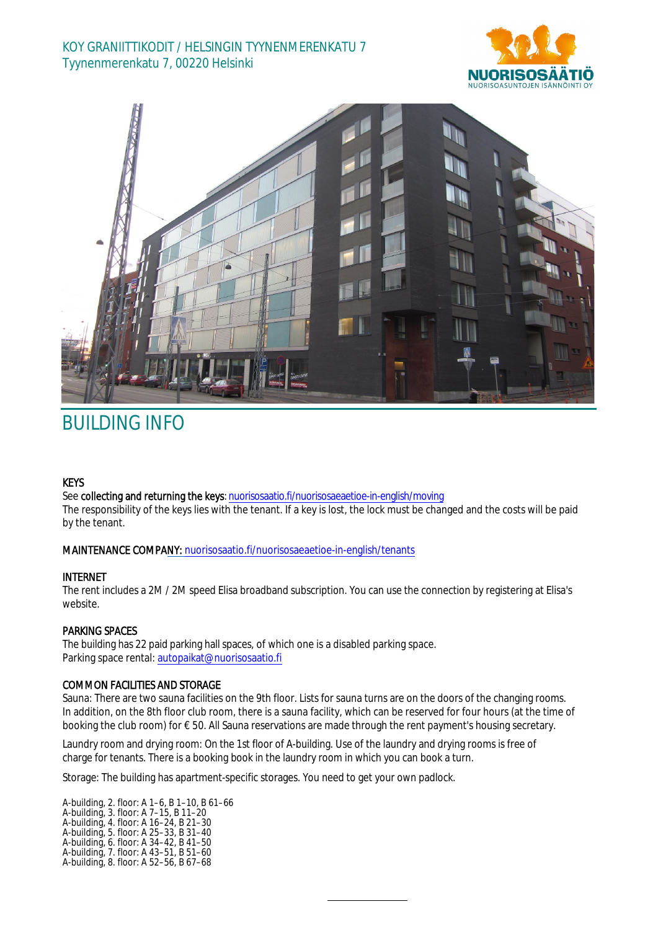# KOY GRANIITTIKODIT / HELSINGIN TYYNENMERENKATU 7 Tyynenmerenkatu 7, 00220 Helsinki





# BUILDING INFO

#### **KEYS**

See collecting and returning the keys: n[uorisosaatio.fi/nuorisosaeaetioe](http://www.nuorisosaatio.fi/muuttajalle)-in-english/moving The responsibility of the keys lies with the tenant. If a key is lost, the lock must be changed and the costs will be paid by the tenant.

## MAINTENANCE COMPANY: [nuorisosaatio.fi/nuoriso](http://www.nuorisosaatio.fi/asukkaalle)saeaetioe-in-english/tenants

#### INTERNET

The rent includes a 2M / 2M speed Elisa broadband subscription. You can use the connection by registering at Elisa's website.

## PARKING SPACES

The building has 22 paid parking hall spaces, of which one is a disabled parking space. Parking space rental: autopaikat@nuorisosaatio.fi

## COMMON FACILITIES AND STORAGE

Sauna: There are two sauna facilities on the 9th floor. Lists for sauna turns are on the doors of the changing rooms. In addition, on the 8th floor club room, there is a sauna facility, which can be reserved for four hours (at the time of booking the club room) for € 50. All Sauna reservations are made through the rent payment's housing secretary.

Laundry room and drying room: On the 1st floor of A-building. Use of the laundry and drying rooms is free of charge for tenants. There is a booking book in the laundry room in which you can book a turn.

Storage: The building has apartment-specific storages. You need to get your own padlock.

A-building, 2. floor: A 1–6, B 1–10, B 61–66 A-building, 3. floor: A 7–15, B 11–20 A-building, 4. floor: A 16–24, B 21–30 A-building, 5. floor: A 25–33, B 31–40 A-building, 6. floor: A 34–42, B 41–50 A-building, 7. floor: A 43–51, B 51–60 A-building, 8. floor: A 52–56, B 67–68